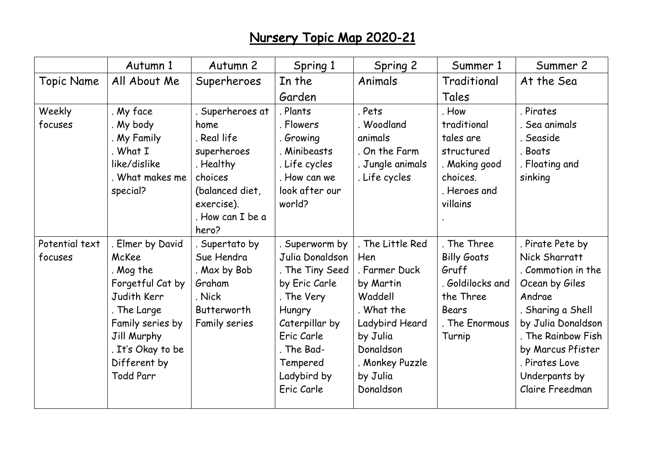## Nursery Topic Map 2020-21

|                           | Autumn 1                                                                                                                                                                       | Autumn 2                                                                                                                            | Spring 1                                                                                                                                                                             | Spring 2                                                                                                                                                              | Summer 1                                                                                                                | Summer 2                                                                                                                                                                                                                        |
|---------------------------|--------------------------------------------------------------------------------------------------------------------------------------------------------------------------------|-------------------------------------------------------------------------------------------------------------------------------------|--------------------------------------------------------------------------------------------------------------------------------------------------------------------------------------|-----------------------------------------------------------------------------------------------------------------------------------------------------------------------|-------------------------------------------------------------------------------------------------------------------------|---------------------------------------------------------------------------------------------------------------------------------------------------------------------------------------------------------------------------------|
| <b>Topic Name</b>         | All About Me                                                                                                                                                                   | Superheroes                                                                                                                         | In the                                                                                                                                                                               | Animals                                                                                                                                                               | Traditional                                                                                                             | At the Sea                                                                                                                                                                                                                      |
|                           |                                                                                                                                                                                |                                                                                                                                     | Garden                                                                                                                                                                               |                                                                                                                                                                       | Tales                                                                                                                   |                                                                                                                                                                                                                                 |
| Weekly<br>focuses         | My face<br>My body<br>My Family<br>What I<br>like/dislike<br>. What makes me<br>special?                                                                                       | . Superheroes at<br>home<br>. Real life<br>superheroes<br>. Healthy<br>choices<br>(balanced diet,<br>exercise).<br>. How can I be a | . Plants<br>. Flowers<br>. Growing<br>Minibeasts<br>. Life cycles<br>. How can we<br>look after our<br>world?                                                                        | . Pets<br>. Woodland<br>animals<br>. On the Farm<br>. Jungle animals<br>. Life cycles                                                                                 | . How<br>traditional<br>tales are<br>structured<br>. Making good<br>choices.<br>. Heroes and<br>villains                | . Pirates<br>. Sea animals<br>. Seaside<br>. Boats<br>. Floating and<br>sinking                                                                                                                                                 |
| Potential text<br>focuses | Elmer by David<br>McKee<br>. Mog the<br>Forgetful Cat by<br>Judith Kerr<br>The Large<br>Family series by<br>Jill Murphy<br>It's Okay to be<br>Different by<br><b>Todd Parr</b> | hero?<br>. Supertato by<br>Sue Hendra<br>. Max by Bob<br>Graham<br>. Nick<br>Butterworth<br>Family series                           | . Superworm by<br>Julia Donaldson<br>. The Tiny Seed<br>by Eric Carle<br>. The Very<br>Hungry<br>Caterpillar by<br>Eric Carle<br>. The Bad-<br>Tempered<br>Ladybird by<br>Eric Carle | . The Little Red<br>Hen<br>. Farmer Duck<br>by Martin<br>Waddell<br>. What the<br>Ladybird Heard<br>by Julia<br>Donaldson<br>. Monkey Puzzle<br>by Julia<br>Donaldson | . The Three<br><b>Billy Goats</b><br>Gruff<br>. Goldilocks and<br>the Three<br><b>Bears</b><br>. The Enormous<br>Turnip | . Pirate Pete by<br>Nick Sharratt<br>. Commotion in the<br>Ocean by Giles<br>Andrae<br>. Sharing a Shell<br>by Julia Donaldson<br>. The Rainbow Fish<br>by Marcus Pfister<br>. Pirates Love<br>Underpants by<br>Claire Freedman |